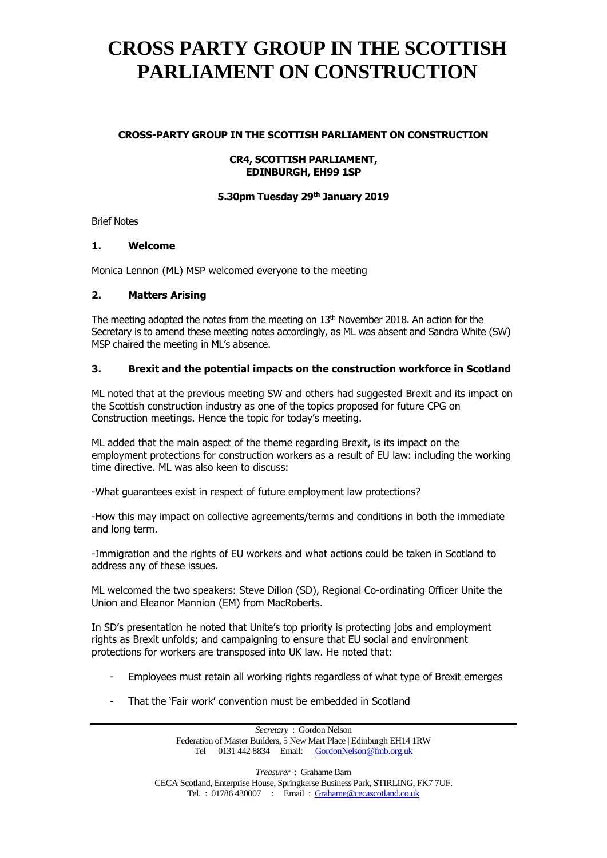### **CROSS-PARTY GROUP IN THE SCOTTISH PARLIAMENT ON CONSTRUCTION**

#### **CR4, SCOTTISH PARLIAMENT, EDINBURGH, EH99 1SP**

### **5.30pm Tuesday 29th January 2019**

Brief Notes

#### **1. Welcome**

Monica Lennon (ML) MSP welcomed everyone to the meeting

### **2. Matters Arising**

The meeting adopted the notes from the meeting on  $13<sup>th</sup>$  November 2018. An action for the Secretary is to amend these meeting notes accordingly, as ML was absent and Sandra White (SW) MSP chaired the meeting in ML's absence.

### **3. Brexit and the potential impacts on the construction workforce in Scotland**

ML noted that at the previous meeting SW and others had suggested Brexit and its impact on the Scottish construction industry as one of the topics proposed for future CPG on Construction meetings. Hence the topic for today's meeting.

ML added that the main aspect of the theme regarding Brexit, is its impact on the employment protections for construction workers as a result of EU law: including the working time directive. ML was also keen to discuss:

-What guarantees exist in respect of future employment law protections?

-How this may impact on collective agreements/terms and conditions in both the immediate and long term.

-Immigration and the rights of EU workers and what actions could be taken in Scotland to address any of these issues.

ML welcomed the two speakers: Steve Dillon (SD), Regional Co-ordinating Officer Unite the Union and Eleanor Mannion (EM) from MacRoberts.

In SD's presentation he noted that Unite's top priority is protecting jobs and employment rights as Brexit unfolds; and campaigning to ensure that EU social and environment protections for workers are transposed into UK law. He noted that:

- Employees must retain all working rights regardless of what type of Brexit emerges
- That the 'Fair work' convention must be embedded in Scotland

*Secretary* : Gordon Nelson Federation of Master Builders, 5 New Mart Place | Edinburgh EH14 1RW Tel 0131 442 8834 Email: [GordonNelson@fmb.org.uk](mailto:GordonNelson@fmb.org.uk)

*Treasurer* : Grahame Barn CECA Scotland, Enterprise House, Springkerse Business Park, STIRLING, FK7 7UF. Tel. : 01786 430007 : Email : [Grahame@cecascotland.co.uk](mailto:Grahame@cecascotland.co.uk)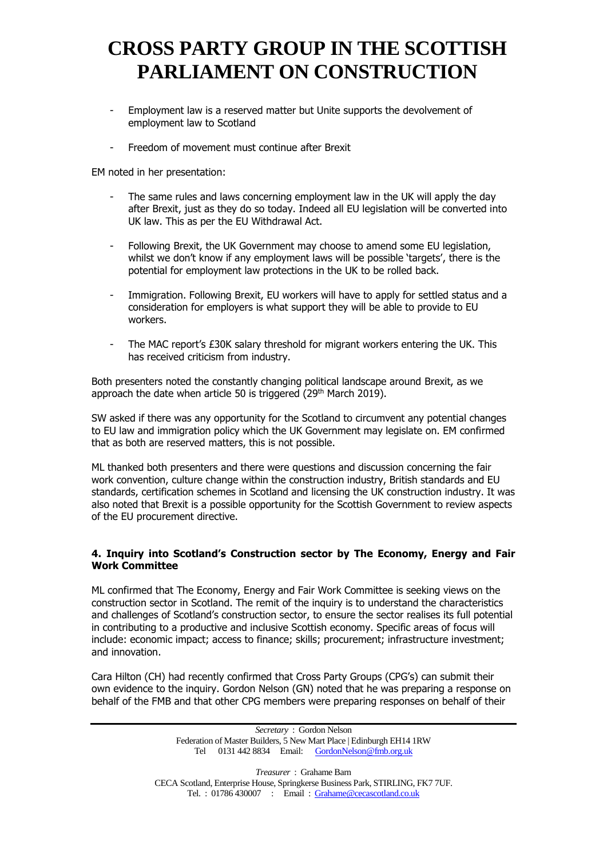- Employment law is a reserved matter but Unite supports the devolvement of employment law to Scotland
- Freedom of movement must continue after Brexit

EM noted in her presentation:

- The same rules and laws concerning employment law in the UK will apply the day after Brexit, just as they do so today. Indeed all EU legislation will be converted into UK law. This as per the EU Withdrawal Act.
- Following Brexit, the UK Government may choose to amend some EU legislation, whilst we don't know if any employment laws will be possible 'targets', there is the potential for employment law protections in the UK to be rolled back.
- Immigration. Following Brexit, EU workers will have to apply for settled status and a consideration for employers is what support they will be able to provide to EU workers.
- The MAC report's £30K salary threshold for migrant workers entering the UK. This has received criticism from industry.

Both presenters noted the constantly changing political landscape around Brexit, as we approach the date when article 50 is triggered (29<sup>th</sup> March 2019).

SW asked if there was any opportunity for the Scotland to circumvent any potential changes to EU law and immigration policy which the UK Government may legislate on. EM confirmed that as both are reserved matters, this is not possible.

ML thanked both presenters and there were questions and discussion concerning the fair work convention, culture change within the construction industry, British standards and EU standards, certification schemes in Scotland and licensing the UK construction industry. It was also noted that Brexit is a possible opportunity for the Scottish Government to review aspects of the EU procurement directive.

### **4. Inquiry into Scotland's Construction sector by [The Economy, Energy and Fair](https://www.parliament.scot/parliamentarybusiness/CurrentCommittees/economy-committee.aspx)  [Work Committee](https://www.parliament.scot/parliamentarybusiness/CurrentCommittees/economy-committee.aspx)**

ML confirmed that The Economy, Energy and Fair Work Committee is seeking views on the construction sector in Scotland. The remit of the inquiry is to understand the characteristics and challenges of Scotland's construction sector, to ensure the sector realises its full potential in contributing to a productive and inclusive Scottish economy. Specific areas of focus will include: economic impact; access to finance; skills; procurement; infrastructure investment; and innovation.

Cara Hilton (CH) had recently confirmed that Cross Party Groups (CPG's) can submit their own evidence to the inquiry. Gordon Nelson (GN) noted that he was preparing a response on behalf of the FMB and that other CPG members were preparing responses on behalf of their

> *Secretary* : Gordon Nelson Federation of Master Builders, 5 New Mart Place | Edinburgh EH14 1RW Tel 0131 442 8834 Email: [GordonNelson@fmb.org.uk](mailto:GordonNelson@fmb.org.uk)

*Treasurer* : Grahame Barn CECA Scotland, Enterprise House, Springkerse Business Park, STIRLING, FK7 7UF. Tel. : 01786 430007 : Email : [Grahame@cecascotland.co.uk](mailto:Grahame@cecascotland.co.uk)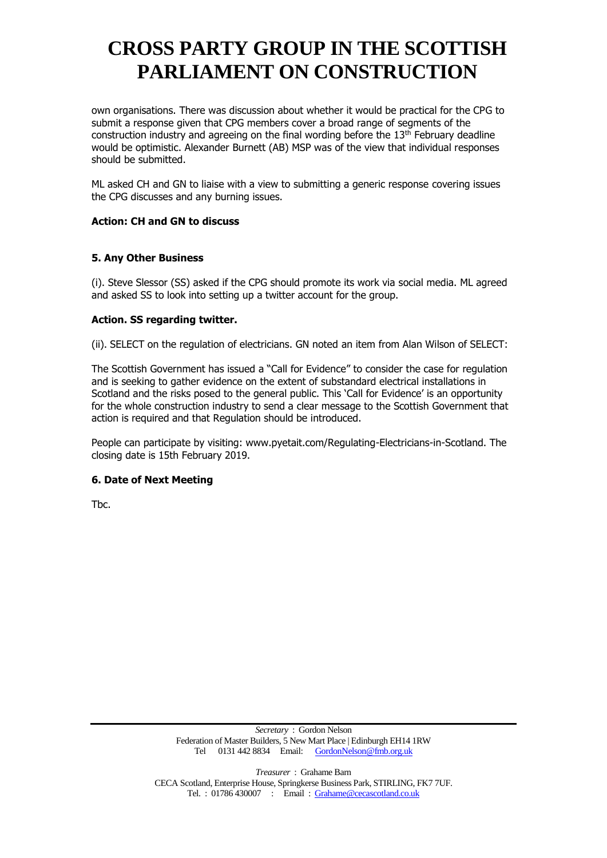own organisations. There was discussion about whether it would be practical for the CPG to submit a response given that CPG members cover a broad range of segments of the construction industry and agreeing on the final wording before the  $13<sup>th</sup>$  February deadline would be optimistic. Alexander Burnett (AB) MSP was of the view that individual responses should be submitted.

ML asked CH and GN to liaise with a view to submitting a generic response covering issues the CPG discusses and any burning issues.

## **Action: CH and GN to discuss**

## **5. Any Other Business**

(i). Steve Slessor (SS) asked if the CPG should promote its work via social media. ML agreed and asked SS to look into setting up a twitter account for the group.

## **Action. SS regarding twitter.**

(ii). SELECT on the regulation of electricians. GN noted an item from Alan Wilson of SELECT:

The Scottish Government has issued a "Call for Evidence" to consider the case for regulation and is seeking to gather evidence on the extent of substandard electrical installations in Scotland and the risks posed to the general public. This 'Call for Evidence' is an opportunity for the whole construction industry to send a clear message to the Scottish Government that action is required and that Regulation should be introduced.

People can participate by visiting: www.pyetait.com/Regulating-Electricians-in-Scotland. The closing date is 15th February 2019.

### **6. Date of Next Meeting**

Tbc.

*Treasurer* : Grahame Barn CECA Scotland, Enterprise House, Springkerse Business Park, STIRLING, FK7 7UF. Tel. : 01786 430007 : Email : [Grahame@cecascotland.co.uk](mailto:Grahame@cecascotland.co.uk)